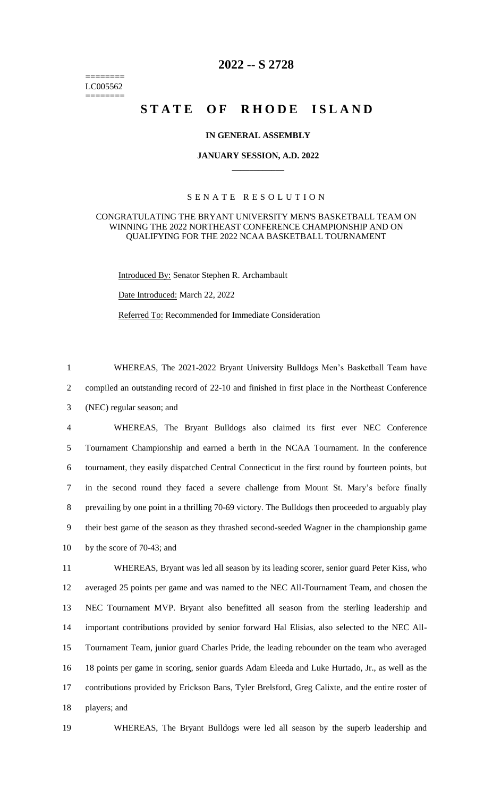======== LC005562 ========

# **2022 -- S 2728**

# STATE OF RHODE ISLAND

## **IN GENERAL ASSEMBLY**

#### **JANUARY SESSION, A.D. 2022 \_\_\_\_\_\_\_\_\_\_\_\_**

# S E N A T E R E S O L U T I O N

## CONGRATULATING THE BRYANT UNIVERSITY MEN'S BASKETBALL TEAM ON WINNING THE 2022 NORTHEAST CONFERENCE CHAMPIONSHIP AND ON QUALIFYING FOR THE 2022 NCAA BASKETBALL TOURNAMENT

Introduced By: Senator Stephen R. Archambault

Date Introduced: March 22, 2022

Referred To: Recommended for Immediate Consideration

1 WHEREAS, The 2021-2022 Bryant University Bulldogs Men's Basketball Team have 2 compiled an outstanding record of 22-10 and finished in first place in the Northeast Conference 3 (NEC) regular season; and

 WHEREAS, The Bryant Bulldogs also claimed its first ever NEC Conference Tournament Championship and earned a berth in the NCAA Tournament. In the conference tournament, they easily dispatched Central Connecticut in the first round by fourteen points, but in the second round they faced a severe challenge from Mount St. Mary's before finally prevailing by one point in a thrilling 70-69 victory. The Bulldogs then proceeded to arguably play their best game of the season as they thrashed second-seeded Wagner in the championship game by the score of 70-43; and

 WHEREAS, Bryant was led all season by its leading scorer, senior guard Peter Kiss, who averaged 25 points per game and was named to the NEC All-Tournament Team, and chosen the NEC Tournament MVP. Bryant also benefitted all season from the sterling leadership and important contributions provided by senior forward Hal Elisias, also selected to the NEC All- Tournament Team, junior guard Charles Pride, the leading rebounder on the team who averaged 18 points per game in scoring, senior guards Adam Eleeda and Luke Hurtado, Jr., as well as the contributions provided by Erickson Bans, Tyler Brelsford, Greg Calixte, and the entire roster of players; and

19 WHEREAS, The Bryant Bulldogs were led all season by the superb leadership and